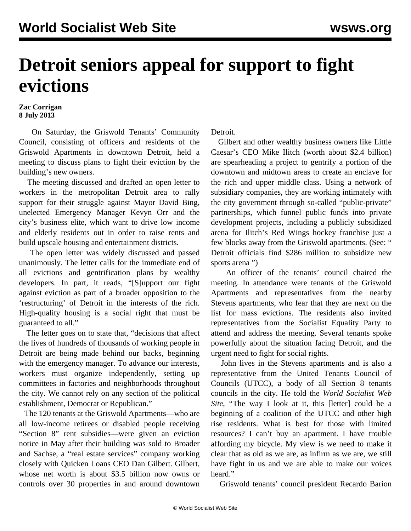## **Detroit seniors appeal for support to fight evictions**

## **Zac Corrigan 8 July 2013**

 On Saturday, the Griswold Tenants' Community Council, consisting of officers and residents of the Griswold Apartments in downtown Detroit, held a meeting to discuss plans to fight their eviction by the building's new owners.

 The meeting discussed and drafted an open letter to workers in the metropolitan Detroit area to rally support for their struggle against Mayor David Bing, unelected Emergency Manager Kevyn Orr and the city's business elite, which want to drive low income and elderly residents out in order to raise rents and build upscale housing and entertainment districts.

 The open letter was widely discussed and passed unanimously. The letter calls for the immediate end of all evictions and gentrification plans by wealthy developers. In part, it reads, "[S]upport our fight against eviction as part of a broader opposition to the 'restructuring' of Detroit in the interests of the rich. High-quality housing is a social right that must be guaranteed to all."

 The letter goes on to state that, "decisions that affect the lives of hundreds of thousands of working people in Detroit are being made behind our backs, beginning with the emergency manager. To advance our interests, workers must organize independently, setting up committees in factories and neighborhoods throughout the city. We cannot rely on any section of the political establishment, Democrat or Republican."

 The 120 tenants at the Griswold Apartments—who are all low-income retirees or disabled people receiving "Section 8" rent subsidies—were given an eviction notice in May after their building was sold to Broader and Sachse, a "real estate services" company working closely with Quicken Loans CEO Dan Gilbert. Gilbert, whose net worth is about \$3.5 billion now owns or controls over 30 properties in and around downtown Detroit.

 Gilbert and other wealthy business owners like Little Caesar's CEO Mike Ilitch (worth about \$2.4 billion) are spearheading a project to gentrify a portion of the downtown and midtown areas to create an enclave for the rich and upper middle class. Using a network of subsidiary companies, they are working intimately with the city government through so-called "public-private" partnerships, which funnel public funds into private development projects, including a publicly subsidized arena for Ilitch's Red Wings hockey franchise just a few blocks away from the Griswold apartments. (See: " [Detroit officials find \\$286 million to subsidize new](/en/articles/2013/06/21/detr-j21.html) [sports arena](/en/articles/2013/06/21/detr-j21.html) ")

 An officer of the tenants' council chaired the meeting. In attendance were tenants of the Griswold Apartments and representatives from the nearby Stevens apartments, who fear that they are next on the list for mass evictions. The residents also invited representatives from the Socialist Equality Party to attend and address the meeting. Several tenants spoke powerfully about the situation facing Detroit, and the urgent need to fight for social rights.

 John lives in the Stevens apartments and is also a representative from the United Tenants Council of Councils (UTCC), a body of all Section 8 tenants councils in the city. He told the *World Socialist Web Site*, "The way I look at it, this [letter] could be a beginning of a coalition of the UTCC and other high rise residents. What is best for those with limited resources? I can't buy an apartment. I have trouble affording my bicycle. My view is we need to make it clear that as old as we are, as infirm as we are, we still have fight in us and we are able to make our voices heard."

Griswold tenants' council president Recardo Barion